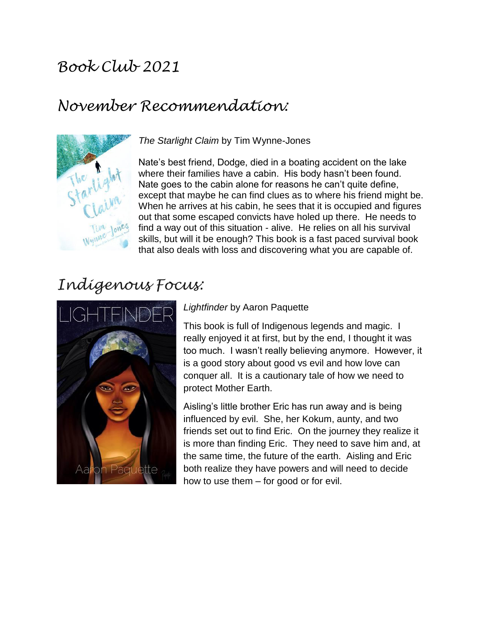# *Book Club 2021*

## *November Recommendation:*



*The Starlight Claim* by Tim Wynne-Jones

Nate's best friend, Dodge, died in a boating accident on the lake where their families have a cabin. His body hasn't been found. Nate goes to the cabin alone for reasons he can't quite define, except that maybe he can find clues as to where his friend might be. When he arrives at his cabin, he sees that it is occupied and figures out that some escaped convicts have holed up there. He needs to find a way out of this situation - alive. He relies on all his survival skills, but will it be enough? This book is a fast paced survival book that also deals with loss and discovering what you are capable of.

## *Indigenous Focus:*



#### *Lightfinder* by Aaron Paquette

This book is full of Indigenous legends and magic. I really enjoyed it at first, but by the end, I thought it was too much. I wasn't really believing anymore. However, it is a good story about good vs evil and how love can conquer all. It is a cautionary tale of how we need to protect Mother Earth.

Aisling's little brother Eric has run away and is being influenced by evil. She, her Kokum, aunty, and two friends set out to find Eric. On the journey they realize it is more than finding Eric. They need to save him and, at the same time, the future of the earth. Aisling and Eric both realize they have powers and will need to decide how to use them – for good or for evil.